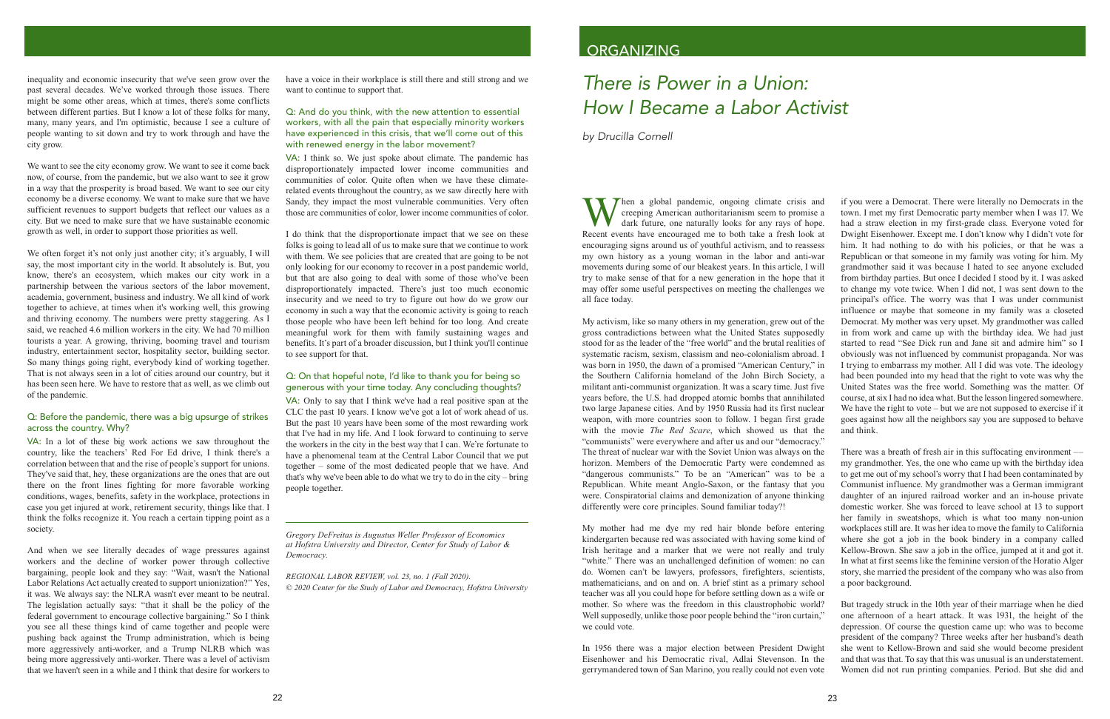inequality and economic insecurity that we've seen grow over the past several decades. We've worked through those issues. There might be some other areas, which at times, there's some conflicts between different parties. But I know a lot of these folks for many, many, many years, and I'm optimistic, because I see a culture of people wanting to sit down and try to work through and have the city grow.

We want to see the city economy grow. We want to see it come back now, of course, from the pandemic, but we also want to see it grow in a way that the prosperity is broad based. We want to see our city economy be a diverse economy. We want to make sure that we have sufficient revenues to support budgets that reflect our values as a city. But we need to make sure that we have sustainable economic growth as well, in order to support those priorities as well.

We often forget it's not only just another city; it's arguably, I will say, the most important city in the world. It absolutely is. But, you know, there's an ecosystem, which makes our city work in a partnership between the various sectors of the labor movement, academia, government, business and industry. We all kind of work together to achieve, at times when it's working well, this growing and thriving economy. The numbers were pretty staggering. As I said, we reached 4.6 million workers in the city. We had 70 million tourists a year. A growing, thriving, booming travel and tourism industry, entertainment sector, hospitality sector, building sector. So many things going right, everybody kind of working together. That is not always seen in a lot of cities around our country, but it has been seen here. We have to restore that as well, as we climb out of the pandemic.

## Q: Before the pandemic, there was a big upsurge of strikes across the country. Why?

VA: In a lot of these big work actions we saw throughout the country, like the teachers' Red For Ed drive, I think there's a correlation between that and the rise of people's support for unions. They've said that, hey, these organizations are the ones that are out there on the front lines fighting for more favorable working conditions, wages, benefits, safety in the workplace, protections in case you get injured at work, retirement security, things like that. I think the folks recognize it. You reach a certain tipping point as a society.

And when we see literally decades of wage pressures against workers and the decline of worker power through collective bargaining, people look and they say: "Wait, wasn't the National Labor Relations Act actually created to support unionization?" Yes, it was. We always say: the NLRA wasn't ever meant to be neutral. The legislation actually says: "that it shall be the policy of the federal government to encourage collective bargaining." So I think you see all these things kind of came together and people were pushing back against the Trump administration, which is being more aggressively anti-worker, and a Trump NLRB which was being more aggressively anti-worker. There was a level of activism that we haven't seen in a while and I think that desire for workers to have a voice in their workplace is still there and still strong and we want to continue to support that.

## Q: And do you think, with the new attention to essential workers, with all the pain that especially minority workers have experienced in this crisis, that we'll come out of this with renewed energy in the labor movement?

VA: I think so. We just spoke about climate. The pandemic has disproportionately impacted lower income communities and communities of color. Quite often when we have these climaterelated events throughout the country, as we saw directly here with Sandy, they impact the most vulnerable communities. Very often those are communities of color, lower income communities of color.

I do think that the disproportionate impact that we see on these folks is going to lead all of us to make sure that we continue to work with them. We see policies that are created that are going to be not only looking for our economy to recover in a post pandemic world, but that are also going to deal with some of those who've been disproportionately impacted. There's just too much economic insecurity and we need to try to figure out how do we grow our economy in such a way that the economic activity is going to reach those people who have been left behind for too long. And create meaningful work for them with family sustaining wages and benefits. It's part of a broader discussion, but I think you'll continue to see support for that.

## Q: On that hopeful note, I'd like to thank you for being so generous with your time today. Any concluding thoughts?

VA: Only to say that I think we've had a real positive span at the CLC the past 10 years. I know we've got a lot of work ahead of us. But the past 10 years have been some of the most rewarding work that I've had in my life. And I look forward to continuing to serve the workers in the city in the best way that I can. We're fortunate to have a phenomenal team at the Central Labor Council that we put together – some of the most dedicated people that we have. And that's why we've been able to do what we try to do in the city – bring people together.

Gregory DeFreitas is Augustus Weller Professor of Economics at Hofstra University and Director, Center for Study of Labor & Democracy.

REGIONAL LABOR REVIEW, vol. 23, no. 1 (Fall 2020). © 2020 Center for the Study of Labor and Democracy, Hofstra University

## ORGANIZING

# There is Power in a Union: How I Became a Labor Activist

by Drucilla Cornell

if you were a Democrat. There were literally no Democrats in the Then a global pandemic, ongoing climate crisis and creeping American authoritarianism seem to promise a town. I met my first Democratic party member when I was 17. We dark future, one naturally looks for any rays of hope. had a straw election in my first-grade class. Everyone voted for Recent events have encouraged me to both take a fresh look at Dwight Eisenhower. Except me. I don't know why I didn't vote for encouraging signs around us of youthful activism, and to reassess him. It had nothing to do with his policies, or that he was a Republican or that someone in my family was voting for him. My my own history as a young woman in the labor and anti-war movements during some of our bleakest years. In this article, I will grandmother said it was because I hated to see anyone excluded try to make sense of that for a new generation in the hope that it from birthday parties. But once I decided I stood by it. I was asked may offer some useful perspectives on meeting the challenges we to change my vote twice. When I did not, I was sent down to the all face today. principal's office. The worry was that I was under communist influence or maybe that someone in my family was a closeted My activism, like so many others in my generation, grew out of the Democrat. My mother was very upset. My grandmother was called in from work and came up with the birthday idea. We had just gross contradictions between what the United States supposedly stood for as the leader of the "free world" and the brutal realities of started to read "See Dick run and Jane sit and admire him" so I systematic racism, sexism, classism and neo-colonialism abroad. I obviously was not influenced by communist propaganda. Nor was was born in 1950, the dawn of a promised "American Century," in I trying to embarrass my mother. All I did was vote. The ideology the Southern California homeland of the John Birch Society, a had been pounded into my head that the right to vote was why the militant anti-communist organization. It was a scary time. Just five United States was the free world. Something was the matter. Of years before, the U.S. had dropped atomic bombs that annihilated course, at six I had no idea what. But the lesson lingered somewhere. two large Japanese cities. And by 1950 Russia had its first nuclear We have the right to vote  $-$  but we are not supposed to exercise if it weapon, with more countries soon to follow. I began first grade goes against how all the neighbors say you are supposed to behave with the movie The Red Scare, which showed us that the and think.

"communists" were everywhere and after us and our "democracy." The threat of nuclear war with the Soviet Union was always on the There was a breath of fresh air in this suffocating environment my grandmother. Yes, the one who came up with the birthday idea to get me out of my school's worry that I had been contaminated by Communist influence. My grandmother was a German immigrant daughter of an injured railroad worker and an in-house private domestic worker. She was forced to leave school at 13 to support

horizon. Members of the Democratic Party were condemned as "dangerous communists." To be an "American" was to be a Republican. White meant Anglo-Saxon, or the fantasy that you were. Conspiratorial claims and demonization of anyone thinking differently were core principles. Sound familiar today?! her family in sweatshops, which is what too many non-union My mother had me dye my red hair blonde before entering workplaces still are. It was her idea to move the family to California kindergarten because red was associated with having some kind of where she got a job in the book bindery in a company called Irish heritage and a marker that we were not really and truly Kellow-Brown. She saw a job in the office, jumped at it and got it. "white." There was an unchallenged definition of women: no can In what at first seems like the feminine version of the Horatio Alger do. Women can't be lawyers, professors, firefighters, scientists, story, she married the president of the company who was also from mathematicians, and on and on. A brief stint as a primary school a poor background. teacher was all you could hope for before settling down as a wife or mother. So where was the freedom in this claustrophobic world? But tragedy struck in the 10th year of their marriage when he died Well supposedly, unlike those poor people behind the "iron curtain," one afternoon of a heart attack. It was 1931, the height of the we could vote. depression. Of course the question came up: who was to become

president of the company? Three weeks after her husband's death In 1956 there was a major election between President Dwight she went to Kellow-Brown and said she would become president Eisenhower and his Democratic rival, Adlai Stevenson. In the and that was that. To say that this was unusual is an understatement. gerrymandered town of San Marino, you really could not even vote Women did not run printing companies. Period. But she did and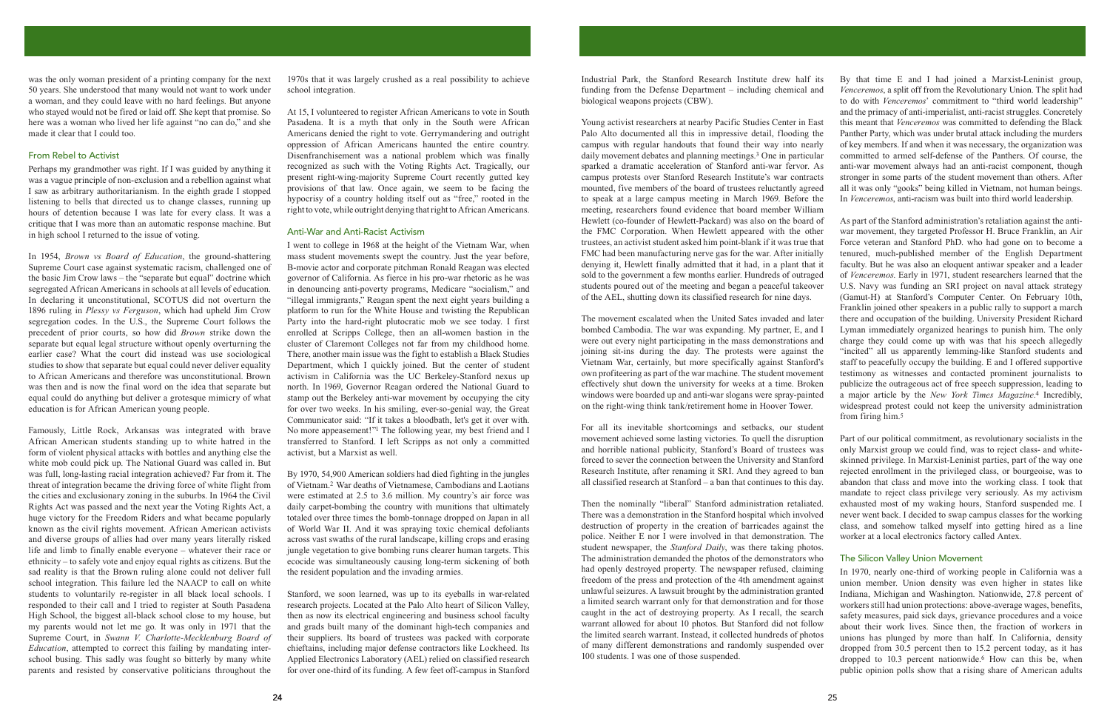was the only woman president of a printing company for the next 50 years. She understood that many would not want to work under a woman, and they could leave with no hard feelings. But anyone who stayed would not be fired or laid off. She kept that promise. So here was a woman who lived her life against "no can do," and she made it clear that I could too.

## From Rebel to Activist

Perhaps my grandmother was right. If I was guided by anything it was a vague principle of non-exclusion and a rebellion against what I saw as arbitrary authoritarianism. In the eighth grade I stopped listening to bells that directed us to change classes, running up hours of detention because I was late for every class. It was a critique that I was more than an automatic response machine. But in high school I returned to the issue of voting.

In 1954, *Brown vs Board of Education*, the ground-shattering Supreme Court case against systematic racism, challenged one of the basic Jim Crow laws – the "separate but equal" doctrine which segregated African Americans in schools at all levels of education. In declaring it unconstitutional, SCOTUS did not overturn the 1896 ruling in *Plessy vs Ferguson*, which had upheld Jim Crow segregation codes. In the U.S., the Supreme Court follows the precedent of prior courts, so how did *Brown* strike down the separate but equal legal structure without openly overturning the earlier case? What the court did instead was use sociological studies to show that separate but equal could never deliver equality to African Americans and therefore was unconstitutional. Brown was then and is now the final word on the idea that separate but equal could do anything but deliver a grotesque mimicry of what education is for African American young people.

Famously, Little Rock, Arkansas was integrated with brave African American students standing up to white hatred in the form of violent physical attacks with bottles and anything else the white mob could pick up. The National Guard was called in. But was full, long-lasting racial integration achieved? Far from it. The threat of integration became the driving force of white flight from the cities and exclusionary zoning in the suburbs. In 1964 the Civil Rights Act was passed and the next year the Voting Rights Act, a huge victory for the Freedom Riders and what became popularly known as the civil rights movement. African American activists and diverse groups of allies had over many years literally risked life and limb to finally enable everyone – whatever their race or ethnicity – to safely vote and enjoy equal rights as citizens. But the sad reality is that the Brown ruling alone could not deliver full school integration. This failure led the NAACP to call on white students to voluntarily re-register in all black local schools. I responded to their call and I tried to register at South Pasadena High School, the biggest all-black school close to my house, but my parents would not let me go. It was only in 1971 that the Supreme Court, in Swann V. Charlotte-Mecklenburg Board of *Education*, attempted to correct this failing by mandating interschool busing. This sadly was fought so bitterly by many white parents and resisted by conservative politicians throughout the

1970s that it was largely crushed as a real possibility to achieve school integration.

At 15, I volunteered to register African Americans to vote in South Pasadena. It is a myth that only in the South were African Americans denied the right to vote. Gerrymandering and outright oppression of African Americans haunted the entire country. Disenfranchisement was a national problem which was finally recognized as such with the Voting Rights Act. Tragically, our present right-wing-majority Supreme Court recently gutted key provisions of that law. Once again, we seem to be facing the hypocrisy of a country holding itself out as "free," rooted in the right to vote, while outright denying that right to African Americans.

## Anti-War and Anti-Racist Activism

I went to college in 1968 at the height of the Vietnam War, when mass student movements swept the country. Just the year before. B-movie actor and corporate pitchman Ronald Reagan was elected governor of California. As fierce in his pro-war rhetoric as he was in denouncing anti-poverty programs, Medicare "socialism," and "illegal immigrants," Reagan spent the next eight years building a platform to run for the White House and twisting the Republican Party into the hard-right plutocratic mob we see today. I first enrolled at Scripps College, then an all-women bastion in the cluster of Claremont Colleges not far from my childhood home. There, another main issue was the fight to establish a Black Studies Department, which I quickly joined. But the center of student activism in California was the UC Berkeley-Stanford nexus up north. In 1969, Governor Reagan ordered the National Guard to stamp out the Berkeley anti-war movement by occupying the city for over two weeks. In his smiling, ever-so-genial way, the Great Communicator said: "If it takes a bloodbath, let's get it over with. No more appeasement!"<sup>1</sup> The following year, my best friend and I transferred to Stanford. I left Scripps as not only a committed activist, but a Marxist as well.

By 1970, 54,900 American soldiers had died fighting in the jungles of Vietnam.<sup>2</sup> War deaths of Vietnamese, Cambodians and Laotians were estimated at 2.5 to 3.6 million. My country's air force was daily carpet-bombing the country with munitions that ultimately totaled over three times the bomb-tonnage dropped on Japan in all of World War II. And it was spraying toxic chemical defoliants across vast swaths of the rural landscape, killing crops and erasing jungle vegetation to give bombing runs clearer human targets. This ecocide was simultaneously causing long-term sickening of both the resident population and the invading armies.

Stanford, we soon learned, was up to its eyeballs in war-related research projects. Located at the Palo Alto heart of Silicon Valley, then as now its electrical engineering and business school faculty and grads built many of the dominant high-tech companies and their suppliers. Its board of trustees was packed with corporate chieftains, including major defense contractors like Lockheed. Its Applied Electronics Laboratory (AEL) relied on classified research for over one-third of its funding. A few feet off-campus in Stanford

Industrial Park, the Stanford Research Institute drew half its By that time E and I had joined a Marxist-Leninist group, funding from the Defense Department - including chemical and Venceremos, a split off from the Revolutionary Union. The split had biological weapons projects (CBW). to do with Venceremos' commitment to "third world leadership" and the primacy of anti-imperialist, anti-racist struggles. Concretely Young activist researchers at nearby Pacific Studies Center in East this meant that Venceremos was committed to defending the Black Palo Alto documented all this in impressive detail, flooding the Panther Party, which was under brutal attack including the murders campus with regular handouts that found their way into nearly of key members. If and when it was necessary, the organization was daily movement debates and planning meetings.<sup>3</sup> One in particular committed to armed self-defense of the Panthers. Of course, the sparked a dramatic acceleration of Stanford anti-war fervor. As anti-war movement always had an anti-racist component, though stronger in some parts of the student movement than others. After campus protests over Stanford Research Institute's war contracts mounted, five members of the board of trustees reluctantly agreed all it was only "gooks" being killed in Vietnam, not human beings. to speak at a large campus meeting in March 1969. Before the In Venceremos, anti-racism was built into third world leadership.

meeting, researchers found evidence that board member William Hewlett (co-founder of Hewlett-Packard) was also on the board of As part of the Stanford administration's retaliation against the antithe FMC Corporation. When Hewlett appeared with the other war movement, they targeted Professor H. Bruce Franklin, an Air trustees, an activist student asked him point-blank if it was true that Force veteran and Stanford PhD, who had gone on to become a FMC had been manufacturing nerve gas for the war. After initially denying it, Hewlett finally admitted that it had, in a plant that it faculty. But he was also an eloquent antiwar speaker and a leader sold to the government a few months earlier. Hundreds of outraged of Venceremos. Early in 1971, student researchers learned that the students poured out of the meeting and began a peaceful takeover U.S. Navy was funding an SRI project on naval attack strategy of the AEL, shutting down its classified research for nine days. (Gamut-H) at Stanford's Computer Center. On February 10th,

tenured, much-published member of the English Department Franklin joined other speakers in a public rally to support a march The movement escalated when the United Sates invaded and later there and occupation of the building. University President Richard bombed Cambodia. The war was expanding. My partner, E, and I Lyman immediately organized hearings to punish him. The only were out every night participating in the mass demonstrations and charge they could come up with was that his speech allegedly joining sit-ins during the day. The protests were against the "incited" all us apparently lemming-like Stanford students and Vietnam War, certainly, but more specifically against Stanford's staff to peacefully occupy the building. E and I offered supportive own profiteering as part of the war machine. The student movement testimony as witnesses and contacted prominent journalists to publicize the outrageous act of free speech suppression, leading to effectively shut down the university for weeks at a time. Broken windows were boarded up and anti-war slogans were spray-painted a major article by the New York Times Magazine.<sup>4</sup> Incredibly, on the right-wing think tank/retirement home in Hoover Tower. widespread protest could not keep the university administration from firing him.<sup>5</sup>

For all its inevitable shortcomings and setbacks, our student movement achieved some lasting victories. To quell the disruption Part of our political commitment, as revolutionary socialists in the and horrible national publicity, Stanford's Board of trustees was only Marxist group we could find, was to reject class- and whiteforced to sever the connection between the University and Stanford skinned privilege. In Marxist-Leninist parties, part of the way one Research Institute, after renaming it SRI. And they agreed to ban rejected enrollment in the privileged class, or bourgeoise, was to all classified research at Stanford  $-$  a ban that continues to this day. abandon that class and move into the working class. I took that mandate to reject class privilege very seriously. As my activism Then the nominally "liberal" Stanford administration retaliated. exhausted most of my waking hours, Stanford suspended me. I never went back. I decided to swap campus classes for the working class, and somehow talked myself into getting hired as a line worker at a local electronics factory called Antex.

There was a demonstration in the Stanford hospital which involved destruction of property in the creation of barricades against the police. Neither E nor I were involved in that demonstration. The student newspaper, the *Stanford Daily*, was there taking photos. The administration demanded the photos of the demonstrators who The Silicon Valley Union Movement had openly destroyed property. The newspaper refused, claiming In 1970, nearly one-third of working people in California was a freedom of the press and protection of the 4th amendment against union member. Union density was even higher in states like unlawful seizures. A lawsuit brought by the administration granted Indiana, Michigan and Washington. Nationwide, 27.8 percent of a limited search warrant only for that demonstration and for those workers still had union protections: above-average wages, benefits, caught in the act of destroying property. As I recall, the search safety measures, paid sick days, grievance procedures and a voice warrant allowed for about 10 photos. But Stanford did not follow about their work lives. Since then, the fraction of workers in the limited search warrant. Instead, it collected hundreds of photos unions has plunged by more than half. In California, density of many different demonstrations and randomly suspended over dropped from 30.5 percent then to 15.2 percent today, as it has 100 students. I was one of those suspended. dropped to 10.3 percent nationwide.<sup>6</sup> How can this be, when public opinion polls show that a rising share of American adults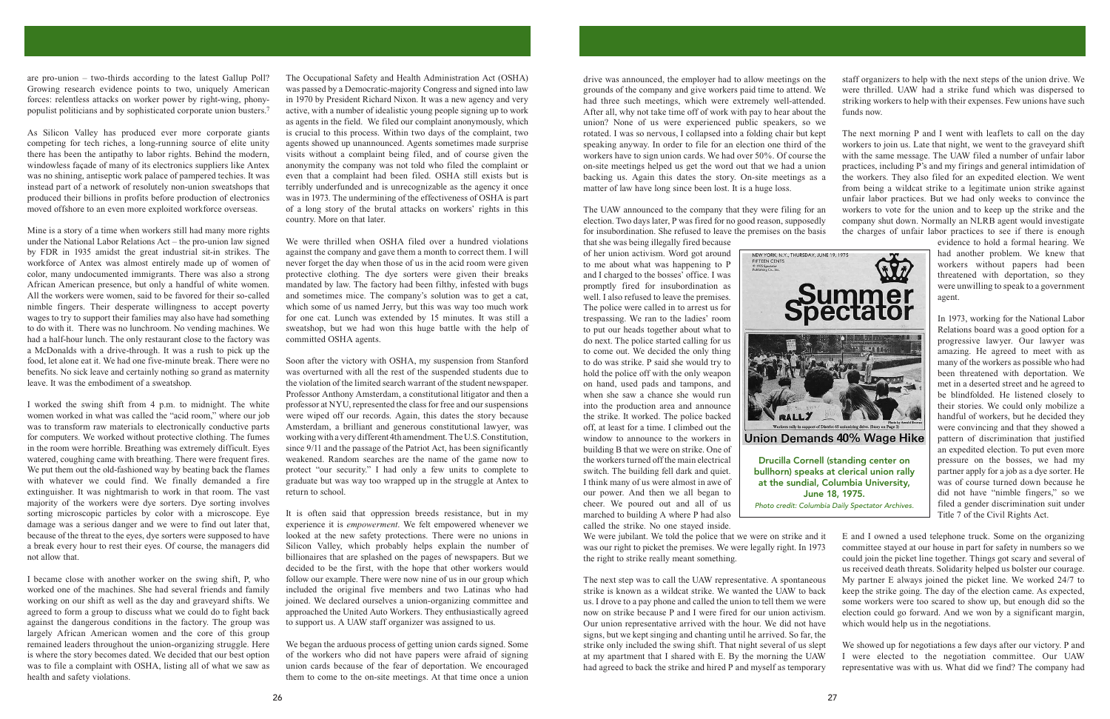are pro-union  $-$  two-thirds according to the latest Gallup Poll? Growing research evidence points to two, uniquely American forces: relentless attacks on worker power by right-wing, phonypopulist politicians and by sophisticated corporate union busters.<sup>7</sup>

As Silicon Valley has produced ever more corporate giants competing for tech riches, a long-running source of elite unity there has been the antipathy to labor rights. Behind the modern, windowless façade of many of its electronics suppliers like Antex was no shining, antiseptic work palace of pampered techies. It was instead part of a network of resolutely non-union sweatshops that produced their billions in profits before production of electronics moved offshore to an even more exploited workforce overseas.

Mine is a story of a time when workers still had many more rights under the National Labor Relations Act – the pro-union law signed by FDR in 1935 amidst the great industrial sit-in strikes. The workforce of Antex was almost entirely made up of women of color, many undocumented immigrants. There was also a strong African American presence, but only a handful of white women. All the workers were women, said to be favored for their so-called nimble fingers. Their desperate willingness to accept poverty wages to try to support their families may also have had something to do with it. There was no lunchroom. No vending machines. We had a half-hour lunch. The only restaurant close to the factory was a McDonalds with a drive-through. It was a rush to pick up the food, let alone eat it. We had one five-minute break. There were no benefits. No sick leave and certainly nothing so grand as maternity leave. It was the embodiment of a sweatshop.

I worked the swing shift from 4 p.m. to midnight. The white women worked in what was called the "acid room," where our job was to transform raw materials to electronically conductive parts for computers. We worked without protective clothing. The fumes in the room were horrible. Breathing was extremely difficult. Eyes watered, coughing came with breathing. There were frequent fires. We put them out the old-fashioned way by beating back the flames with whatever we could find. We finally demanded a fire extinguisher. It was nightmarish to work in that room. The vast majority of the workers were dye sorters. Dye sorting involves sorting microscopic particles by color with a microscope. Eye damage was a serious danger and we were to find out later that, because of the threat to the eyes, dye sorters were supposed to have a break every hour to rest their eyes. Of course, the managers did not allow that.

I became close with another worker on the swing shift, P, who worked one of the machines. She had several friends and family working on our shift as well as the day and graveyard shifts. We agreed to form a group to discuss what we could do to fight back against the dangerous conditions in the factory. The group was largely African American women and the core of this group remained leaders throughout the union-organizing struggle. Here is where the story becomes dated. We decided that our best option was to file a complaint with OSHA, listing all of what we saw as health and safety violations.

The Occupational Safety and Health Administration Act (OSHA) was passed by a Democratic-majority Congress and signed into law in 1970 by President Richard Nixon. It was a new agency and very active, with a number of idealistic young people signing up to work as agents in the field. We filed our complaint anonymously, which is crucial to this process. Within two days of the complaint, two agents showed up unannounced. Agents sometimes made surprise visits without a complaint being filed, and of course given the anonymity the company was not told who filed the complaint or even that a complaint had been filed. OSHA still exists but is terribly underfunded and is unrecognizable as the agency it once was in 1973. The undermining of the effectiveness of OSHA is part of a long story of the brutal attacks on workers' rights in this country. More on that later.

We were thrilled when OSHA filed over a hundred violations against the company and gave them a month to correct them. I will never forget the day when those of us in the acid room were given protective clothing. The dye sorters were given their breaks mandated by law. The factory had been filthy, infested with bugs and sometimes mice. The company's solution was to get a cat, which some of us named Jerry, but this was way too much work for one cat. Lunch was extended by 15 minutes. It was still a sweatshop, but we had won this huge battle with the help of committed OSHA agents.

Soon after the victory with OSHA, my suspension from Stanford was overturned with all the rest of the suspended students due to the violation of the limited search warrant of the student newspaper. Professor Anthony Amsterdam, a constitutional litigator and then a professor at NYU, represented the class for free and our suspensions were wiped off our records. Again, this dates the story because Amsterdam, a brilliant and generous constitutional lawyer, was working with a very different 4th amendment. The U.S. Constitution, since 9/11 and the passage of the Patriot Act, has been significantly weakened. Random searches are the name of the game now to protect "our security." I had only a few units to complete to graduate but was way too wrapped up in the struggle at Antex to return to school.

It is often said that oppression breeds resistance, but in my experience it is *empowerment*. We felt empowered whenever we looked at the new safety protections. There were no unions in Silicon Valley, which probably helps explain the number of billionaires that are splashed on the pages of newspapers. But we decided to be the first, with the hope that other workers would follow our example. There were now nine of us in our group which included the original five members and two Latinas who had joined. We declared ourselves a union-organizing committee and approached the United Auto Workers. They enthusiastically agreed to support us. A UAW staff organizer was assigned to us.

We began the arduous process of getting union cards signed. Some of the workers who did not have papers were afraid of signing union cards because of the fear of deportation. We encouraged them to come to the on-site meetings. At that time once a union

drive was announced, the employer had to allow meetings on the staff organizers to help with the next steps of the union drive. We grounds of the company and give workers paid time to attend. We were thrilled. UAW had a strike fund which was dispersed to had three such meetings, which were extremely well-attended. striking workers to help with their expenses. Few unions have such After all, why not take time off of work with pay to hear about the funds now. union? None of us were experienced public speakers, so we rotated. I was so nervous, I collapsed into a folding chair but kept The next morning P and I went with leaflets to call on the day speaking anyway. In order to file for an election one third of the workers to join us. Late that night, we went to the graveyard shift workers have to sign union cards. We had over 50%. Of course the with the same message. The UAW filed a number of unfair labor on-site meetings helped us get the word out that we had a union practices, including P's and my firings and general intimidation of backing us. Again this dates the story. On-site meetings as a the workers. They also filed for an expedited election. We went matter of law have long since been lost. It is a huge loss. from being a wildcat strike to a legitimate union strike against unfair labor practices. But we had only weeks to convince the The UAW announced to the company that they were filing for an workers to vote for the union and to keep up the strike and the election. Two days later, P was fired for no good reason, supposedly company shut down. Normally an NLRB agent would investigate for insubordination. She refused to leave the premises on the basis the charges of unfair labor practices to see if there is enough

that she was being illegally fired because of her union activism. Word got around to me about what was happening to P and I charged to the bosses' office. I was promptly fired for insubordination as well. I also refused to leave the premises. The police were called in to arrest us for trespassing. We ran to the ladies' room to put our heads together about what to do next. The police started calling for us to come out. We decided the only thing to do was strike. P said she would try to hold the police off with the only weapon on hand, used pads and tampons, and when she saw a chance she would run into the production area and announce the strike. It worked. The police backed off, at least for a time. I climbed out the window to announce to the workers in building B that we were on strike. One of the workers turned off the main electrical switch. The building fell dark and quiet. I think many of us were almost in awe of our power. And then we all began to cheer. We poured out and all of us marched to building A where P had also



at the sundial, Columbia University, June 18, 1975. Photo credit: Columbia Daily Spectator Archives.

which would help us in the negotiations.

called the strike. No one stayed inside. We were jubilant. We told the police that we were on strike and it E and I owned a used telephone truck. Some on the organizing was our right to picket the premises. We were legally right. In 1973 committee stayed at our house in part for safety in numbers so we the right to strike really meant something. could join the picket line together. Things got scary and several of us received death threats. Solidarity helped us bolster our courage. The next step was to call the UAW representative. A spontaneous My partner E always joined the picket line. We worked 24/7 to strike is known as a wildcat strike. We wanted the UAW to back keep the strike going. The day of the election came. As expected, us. I drove to a pay phone and called the union to tell them we were some workers were too scared to show up, but enough did so the now on strike because P and I were fired for our union activism. election could go forward. And we won by a significant margin, Our union representative arrived with the hour. We did not have signs, but we kept singing and chanting until he arrived. So far, the strike only included the swing shift. That night several of us slept We showed up for negotiations a few days after our victory. P and at my apartment that I shared with E. By the morning the UAW I were elected to the negotiation committee. Our UAW had agreed to back the strike and hired P and myself as temporary representative was with us. What did we find? The company had

had another problem. We knew that workers without papers had been threatened with deportation, so they were unwilling to speak to a government agent.

evidence to hold a formal hearing. We

In 1973, working for the National Labor Relations board was a good option for a progressive lawyer. Our lawyer was amazing. He agreed to meet with as many of the workers as possible who had been threatened with deportation. We met in a deserted street and he agreed to be blindfolded. He listened closely to their stories. We could only mobilize a handful of workers, but he decided they were convincing and that they showed a pattern of discrimination that justified an expedited election. To put even more pressure on the bosses, we had my partner apply for a job as a dye sorter. He was of course turned down because he did not have "nimble fingers," so we filed a gender discrimination suit under Title 7 of the Civil Rights Act.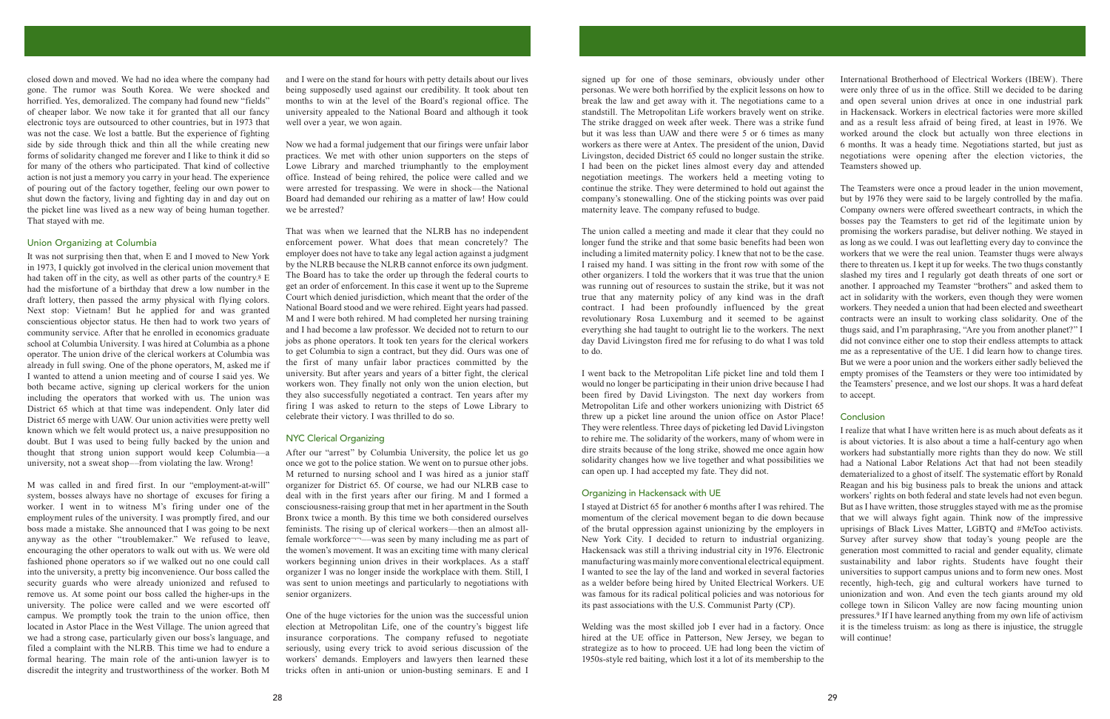closed down and moved. We had no idea where the company had gone. The rumor was South Korea. We were shocked and horrified. Yes, demoralized. The company had found new "fields" of cheaper labor. We now take it for granted that all our fancy electronic toys are outsourced to other countries, but in 1973 that was not the case. We lost a battle. But the experience of fighting side by side through thick and thin all the while creating new forms of solidarity changed me forever and I like to think it did so for many of the others who participated. That kind of collective action is not just a memory you carry in your head. The experience of pouring out of the factory together, feeling our own power to shut down the factory, living and fighting day in and day out on the picket line was lived as a new way of being human together. That staved with me.

### Union Organizing at Columbia

It was not surprising then that, when E and I moved to New York in 1973. I quickly got involved in the clerical union movement that had taken off in the city, as well as other parts of the country.<sup>8</sup>  $E$ had the misfortune of a birthday that drew a low number in the draft lottery, then passed the army physical with flying colors. Next stop: Vietnam! But he applied for and was granted conscientious objector status. He then had to work two years of community service. After that he enrolled in economics graduate school at Columbia University. I was hired at Columbia as a phone operator. The union drive of the clerical workers at Columbia was already in full swing. One of the phone operators, M, asked me if I wanted to attend a union meeting and of course I said ves. We both became active, signing up clerical workers for the union including the operators that worked with us. The union was District 65 which at that time was independent. Only later did District 65 merge with UAW. Our union activities were pretty well known which we felt would protect us, a naive presupposition no doubt. But I was used to being fully backed by the union and thought that strong union support would keep Columbia-a university, not a sweat shop—from violating the law. Wrong!

M was called in and fired first. In our "employment-at-will" system, bosses always have no shortage of excuses for firing a worker. I went in to witness M's firing under one of the employment rules of the university. I was promptly fired, and our boss made a mistake. She announced that I was going to be next anyway as the other "troublemaker." We refused to leave, encouraging the other operators to walk out with us. We were old fashioned phone operators so if we walked out no one could call into the university, a pretty big inconvenience. Our boss called the security guards who were already unionized and refused to remove us. At some point our boss called the higher-ups in the university. The police were called and we were escorted off campus. We promptly took the train to the union office, then located in Astor Place in the West Village. The union agreed that we had a strong case, particularly given our boss's language, and filed a complaint with the NLRB. This time we had to endure a formal hearing. The main role of the anti-union lawyer is to discredit the integrity and trustworthiness of the worker. Both M and I were on the stand for hours with petty details about our lives being supposedly used against our credibility. It took about ten months to win at the level of the Board's regional office. The university appealed to the National Board and although it took well over a year, we won again.

Now we had a formal judgement that our firings were unfair labor practices. We met with other union supporters on the steps of Lowe Library and marched triumphantly to the employment office. Instead of being rehired, the police were called and we were arrested for trespassing. We were in shock—the National Board had demanded our rehiring as a matter of law! How could we be arrested?

That was when we learned that the NLRB has no independent enforcement power. What does that mean concretely? The employer does not have to take any legal action against a judgment by the NLRB because the NLRB cannot enforce its own judgment. The Board has to take the order up through the federal courts to get an order of enforcement. In this case it went up to the Supreme Court which denied jurisdiction, which meant that the order of the National Board stood and we were rehired. Eight years had passed. M and I were both rehired. M had completed her nursing training and I had become a law professor. We decided not to return to our jobs as phone operators. It took ten years for the clerical workers to get Columbia to sign a contract, but they did. Ours was one of the first of many unfair labor practices committed by the university. But after years and years of a bitter fight, the clerical workers won. They finally not only won the union election, but they also successfully negotiated a contract. Ten years after my firing I was asked to return to the steps of Lowe Library to celebrate their victory. I was thrilled to do so.

## **NYC Clerical Organizing**

After our "arrest" by Columbia University, the police let us go once we got to the police station. We went on to pursue other jobs. M returned to nursing school and I was hired as a junior staff organizer for District 65. Of course, we had our NLRB case to deal with in the first years after our firing. M and I formed a consciousness-raising group that met in her apartment in the South Bronx twice a month. By this time we both considered ourselves feminists. The rising up of clerical workers—then an almost allfemale workforce——was seen by many including me as part of the women's movement. It was an exciting time with many clerical workers beginning union drives in their workplaces. As a staff organizer I was no longer inside the workplace with them. Still, I was sent to union meetings and particularly to negotiations with senior organizers.

One of the huge victories for the union was the successful union election at Metropolitan Life, one of the country's biggest life insurance corporations. The company refused to negotiate seriously, using every trick to avoid serious discussion of the workers' demands. Employers and lawyers then learned these tricks often in anti-union or union-busting seminars. E and I signed up for one of those seminars, obviously under other International Brotherhood of Electrical Workers (IBEW). There personas. We were both horrified by the explicit lessons on how to were only three of us in the office. Still we decided to be daring break the law and get away with it. The negotiations came to a and open several union drives at once in one industrial park standstill. The Metropolitan Life workers bravely went on strike. in Hackensack. Workers in electrical factories were more skilled The strike dragged on week after week. There was a strike fund and as a result less afraid of being fired, at least in 1976. We but it was less than UAW and there were 5 or 6 times as many worked around the clock but actually won three elections in 6 months. It was a heady time. Negotiations started, but just as workers as there were at Antex. The president of the union, David Livingston, decided District 65 could no longer sustain the strike. negotiations were opening after the election victories, the I had been on the picket lines almost every day and attended Teamsters showed up. negotiation meetings. The workers held a meeting voting to The Teamsters were once a proud leader in the union movement, but by 1976 they were said to be largely controlled by the mafia.

continue the strike. They were determined to hold out against the company's stonewalling. One of the sticking points was over paid maternity leave. The company refused to budge. Company owners were offered sweetheart contracts, in which the bosses pay the Teamsters to get rid of the legitimate union by promising the workers paradise, but deliver nothing. We stayed in The union called a meeting and made it clear that they could no longer fund the strike and that some basic benefits had been won as long as we could. I was out leafletting every day to convince the including a limited maternity policy. I knew that not to be the case. workers that we were the real union. Teamster thugs were always I raised my hand. I was sitting in the front row with some of the there to threaten us. I kept it up for weeks. The two thugs constantly other organizers. I told the workers that it was true that the union slashed my tires and I regularly got death threats of one sort or was running out of resources to sustain the strike, but it was not another. I approached my Teamster "brothers" and asked them to true that any maternity policy of any kind was in the draft act in solidarity with the workers, even though they were women contract. I had been profoundly influenced by the great workers. They needed a union that had been elected and sweetheart revolutionary Rosa Luxemburg and it seemed to be against contracts were an insult to working class solidarity. One of the everything she had taught to outright lie to the workers. The next thugs said, and I'm paraphrasing, "Are you from another planet?" I day David Livingston fired me for refusing to do what I was told did not convince either one to stop their endless attempts to attack to do. me as a representative of the UE. I did learn how to change tires. But we were a poor union and the workers either sadly believed the I went back to the Metropolitan Life picket line and told them I empty promises of the Teamsters or they were too intimidated by would no longer be participating in their union drive because I had the Teamsters' presence, and we lost our shops. It was a hard defeat to accept.

been fired by David Livingston. The next day workers from Metropolitan Life and other workers unionizing with District 65 threw up a picket line around the union office on Astor Place! They were relentless. Three days of picketing led David Livingston can open up. I had accepted my fate. They did not.

I realize that what I have written here is as much about defeats as it to rehire me. The solidarity of the workers, many of whom were in is about victories. It is also about a time a half-century ago when dire straits because of the long strike, showed me once again how workers had substantially more rights than they do now. We still solidarity changes how we live together and what possibilities we had a National Labor Relations Act that had not been steadily dematerialized to a ghost of itself. The systematic effort by Ronald Reagan and his big business pals to break the unions and attack Organizing in Hackensack with UE workers' rights on both federal and state levels had not even begun. I stayed at District 65 for another 6 months after I was rehired. The But as I have written, those struggles stayed with me as the promise that we will always fight again. Think now of the impressive momentum of the clerical movement began to die down because of the brutal oppression against unionizing by the employers in uprisings of Black Lives Matter, LGBTO and #MeToo activists. New York City. I decided to return to industrial organizing. Survey after survey show that today's young people are the Hackensack was still a thriving industrial city in 1976. Electronic generation most committed to racial and gender equality, climate manufacturing was mainly more conventional electrical equipment. sustainability and labor rights. Students have fought their I wanted to see the lay of the land and worked in several factories universities to support campus unions and to form new ones. Most as a welder before being hired by United Electrical Workers. UE recently, high-tech, gig and cultural workers have turned to was famous for its radical political policies and was notorious for unionization and won. And even the tech giants around my old its past associations with the U.S. Communist Party (CP). college town in Silicon Valley are now facing mounting union pressures.<sup>9</sup> If I have learned anything from my own life of activism Welding was the most skilled job I ever had in a factory. Once it is the timeless truism: as long as there is injustice, the struggle hired at the UE office in Patterson, New Jersey, we began to will continue!

strategize as to how to proceed. UE had long been the victim of 1950s-style red baiting, which lost it a lot of its membership to the

## Conclusion

29